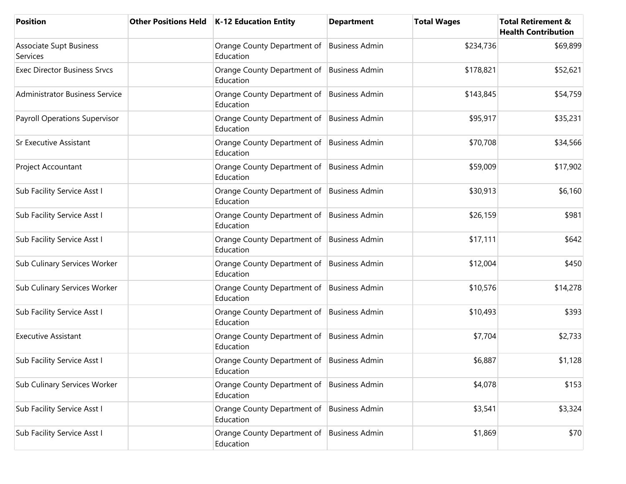| <b>Position</b>                       | <b>Other Positions Held</b> | <b>K-12 Education Entity</b>                              | <b>Department</b>     | <b>Total Wages</b> | <b>Total Retirement &amp;</b><br><b>Health Contribution</b> |
|---------------------------------------|-----------------------------|-----------------------------------------------------------|-----------------------|--------------------|-------------------------------------------------------------|
| Associate Supt Business<br>Services   |                             | Orange County Department of<br>Education                  | <b>Business Admin</b> | \$234,736          | \$69,899                                                    |
| <b>Exec Director Business Srvcs</b>   |                             | Orange County Department of<br>Education                  | <b>Business Admin</b> | \$178,821          | \$52,621                                                    |
| <b>Administrator Business Service</b> |                             | Orange County Department of<br>Education                  | <b>Business Admin</b> | \$143,845          | \$54,759                                                    |
| <b>Payroll Operations Supervisor</b>  |                             | Orange County Department of<br>Education                  | <b>Business Admin</b> | \$95,917           | \$35,231                                                    |
| <b>Sr Executive Assistant</b>         |                             | Orange County Department of<br>Education                  | <b>Business Admin</b> | \$70,708           | \$34,566                                                    |
| Project Accountant                    |                             | Orange County Department of<br>Education                  | <b>Business Admin</b> | \$59,009           | \$17,902                                                    |
| Sub Facility Service Asst I           |                             | Orange County Department of<br>Education                  | <b>Business Admin</b> | \$30,913           | \$6,160                                                     |
| Sub Facility Service Asst I           |                             | Orange County Department of<br>Education                  | <b>Business Admin</b> | \$26,159           | \$981                                                       |
| Sub Facility Service Asst I           |                             | Orange County Department of<br>Education                  | <b>Business Admin</b> | \$17,111           | \$642                                                       |
| Sub Culinary Services Worker          |                             | Orange County Department of<br>Education                  | <b>Business Admin</b> | \$12,004           | \$450                                                       |
| Sub Culinary Services Worker          |                             | Orange County Department of<br>Education                  | <b>Business Admin</b> | \$10,576           | \$14,278                                                    |
| Sub Facility Service Asst I           |                             | Orange County Department of<br>Education                  | <b>Business Admin</b> | \$10,493           | \$393                                                       |
| <b>Executive Assistant</b>            |                             | Orange County Department of<br>Education                  | <b>Business Admin</b> | \$7,704            | \$2,733                                                     |
| Sub Facility Service Asst I           |                             | Orange County Department of   Business Admin<br>Education |                       | \$6,887            | \$1,128                                                     |
| Sub Culinary Services Worker          |                             | Orange County Department of<br>Education                  | <b>Business Admin</b> | \$4,078            | \$153                                                       |
| Sub Facility Service Asst I           |                             | Orange County Department of<br>Education                  | <b>Business Admin</b> | \$3,541            | \$3,324                                                     |
| Sub Facility Service Asst I           |                             | Orange County Department of<br>Education                  | <b>Business Admin</b> | \$1,869            | \$70                                                        |